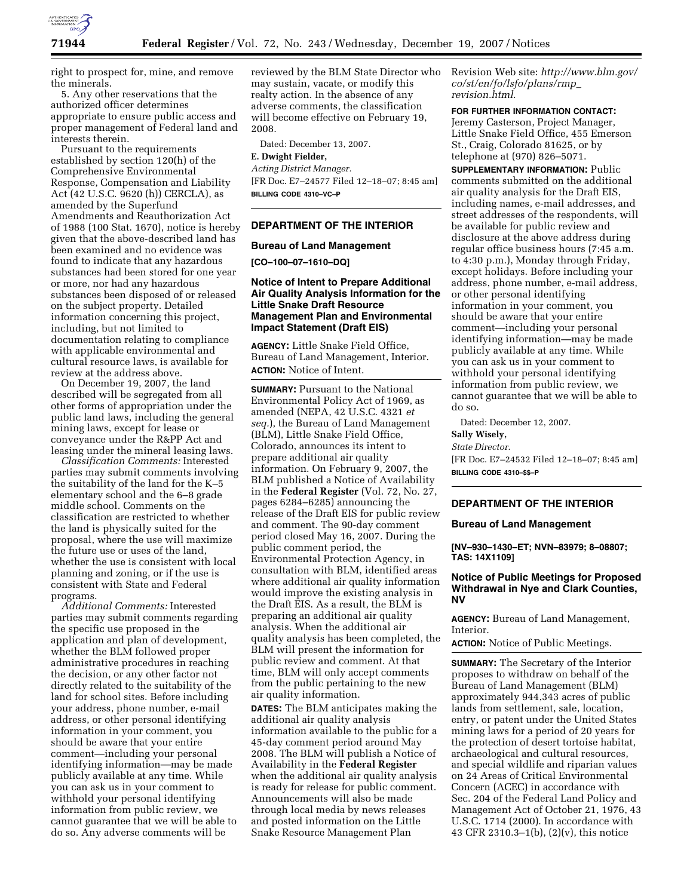

right to prospect for, mine, and remove the minerals.

5. Any other reservations that the authorized officer determines appropriate to ensure public access and proper management of Federal land and interests therein.

Pursuant to the requirements established by section 120(h) of the Comprehensive Environmental Response, Compensation and Liability Act (42 U.S.C. 9620 (h)) CERCLA), as amended by the Superfund Amendments and Reauthorization Act of 1988 (100 Stat. 1670), notice is hereby given that the above-described land has been examined and no evidence was found to indicate that any hazardous substances had been stored for one year or more, nor had any hazardous substances been disposed of or released on the subject property. Detailed information concerning this project, including, but not limited to documentation relating to compliance with applicable environmental and cultural resource laws, is available for review at the address above.

On December 19, 2007, the land described will be segregated from all other forms of appropriation under the public land laws, including the general mining laws, except for lease or conveyance under the R&PP Act and leasing under the mineral leasing laws.

*Classification Comments:* Interested parties may submit comments involving the suitability of the land for the K–5 elementary school and the 6–8 grade middle school. Comments on the classification are restricted to whether the land is physically suited for the proposal, where the use will maximize the future use or uses of the land, whether the use is consistent with local planning and zoning, or if the use is consistent with State and Federal programs.

*Additional Comments:* Interested parties may submit comments regarding the specific use proposed in the application and plan of development, whether the BLM followed proper administrative procedures in reaching the decision, or any other factor not directly related to the suitability of the land for school sites. Before including your address, phone number, e-mail address, or other personal identifying information in your comment, you should be aware that your entire comment—including your personal identifying information—may be made publicly available at any time. While you can ask us in your comment to withhold your personal identifying information from public review, we cannot guarantee that we will be able to do so. Any adverse comments will be

reviewed by the BLM State Director who may sustain, vacate, or modify this realty action. In the absence of any adverse comments, the classification will become effective on February 19, 2008.

Dated: December 13, 2007.

# **E. Dwight Fielder,**

*Acting District Manager.*  [FR Doc. E7–24577 Filed 12–18–07; 8:45 am] **BILLING CODE 4310–VC–P** 

### **DEPARTMENT OF THE INTERIOR**

#### **Bureau of Land Management**

**[CO–100–07–1610–DQ]** 

## **Notice of Intent to Prepare Additional Air Quality Analysis Information for the Little Snake Draft Resource Management Plan and Environmental Impact Statement (Draft EIS)**

**AGENCY:** Little Snake Field Office, Bureau of Land Management, Interior. **ACTION:** Notice of Intent.

**SUMMARY: Pursuant to the National** Environmental Policy Act of 1969, as amended (NEPA, 42 U.S.C. 4321 *et seq.*), the Bureau of Land Management (BLM), Little Snake Field Office, Colorado, announces its intent to prepare additional air quality information. On February 9, 2007, the BLM published a Notice of Availability in the **Federal Register** (Vol. 72, No. 27, pages 6284–6285) announcing the release of the Draft EIS for public review and comment. The 90-day comment period closed May 16, 2007. During the public comment period, the Environmental Protection Agency, in consultation with BLM, identified areas where additional air quality information would improve the existing analysis in the Draft EIS. As a result, the BLM is preparing an additional air quality analysis. When the additional air quality analysis has been completed, the BLM will present the information for public review and comment. At that time, BLM will only accept comments from the public pertaining to the new air quality information.

**DATES:** The BLM anticipates making the additional air quality analysis information available to the public for a 45-day comment period around May 2008. The BLM will publish a Notice of Availability in the **Federal Register**  when the additional air quality analysis is ready for release for public comment. Announcements will also be made through local media by news releases and posted information on the Little Snake Resource Management Plan

Revision Web site: *http://www.blm.gov/ co/st/en/fo/lsfo/plans/rmp*\_ *revision.html*.

**FOR FURTHER INFORMATION CONTACT:**  Jeremy Casterson, Project Manager, Little Snake Field Office, 455 Emerson St., Craig, Colorado 81625, or by telephone at (970) 826–5071.

**SUPPLEMENTARY INFORMATION:** Public comments submitted on the additional air quality analysis for the Draft EIS, including names, e-mail addresses, and street addresses of the respondents, will be available for public review and disclosure at the above address during regular office business hours (7:45 a.m. to 4:30 p.m.), Monday through Friday, except holidays. Before including your address, phone number, e-mail address, or other personal identifying information in your comment, you should be aware that your entire comment—including your personal identifying information—may be made publicly available at any time. While you can ask us in your comment to withhold your personal identifying information from public review, we cannot guarantee that we will be able to do so.

Dated: December 12, 2007.

## **Sally Wisely,**

*State Director.* 

[FR Doc. E7–24532 Filed 12–18–07; 8:45 am] **BILLING CODE 4310–\$\$–P** 

## **DEPARTMENT OF THE INTERIOR**

#### **Bureau of Land Management**

**[NV–930–1430–ET; NVN–83979; 8–08807; TAS: 14X1109]** 

## **Notice of Public Meetings for Proposed Withdrawal in Nye and Clark Counties, NV**

**AGENCY:** Bureau of Land Management, Interior.

**ACTION:** Notice of Public Meetings.

**SUMMARY:** The Secretary of the Interior proposes to withdraw on behalf of the Bureau of Land Management (BLM) approximately 944,343 acres of public lands from settlement, sale, location, entry, or patent under the United States mining laws for a period of 20 years for the protection of desert tortoise habitat, archaeological and cultural resources, and special wildlife and riparian values on 24 Areas of Critical Environmental Concern (ACEC) in accordance with Sec. 204 of the Federal Land Policy and Management Act of October 21, 1976, 43 U.S.C. 1714 (2000). In accordance with 43 CFR 2310.3–1(b), (2)(v), this notice